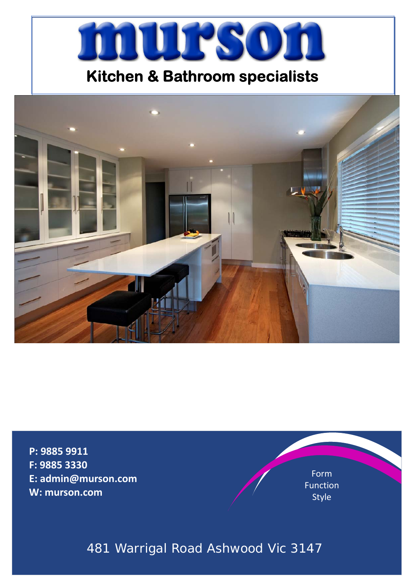

# **Kitchen & Bathroom specialists**



**P: 9885 9911 F: 9885 3330 E: admin@murson.com W: murson.com**

Form Function Style

# 481 Warrigal Road Ashwood Vic 3147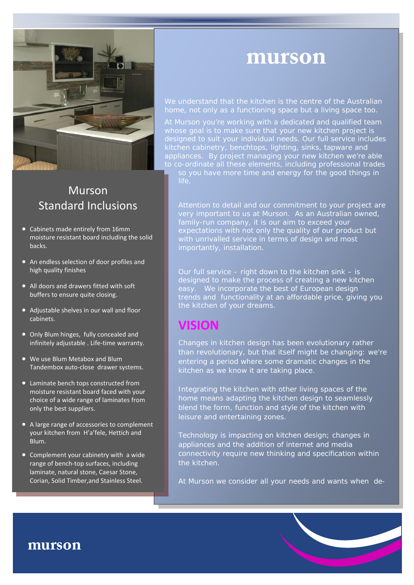

## Murson Standard Inclusions

- Cabinets made entirely from 16mm moisture resistant board including the solid backs.
- An endless selection of door profiles and high quality finishes
- All doors and drawers fitted with soft buffers to ensure quite closing.
- Adjustable shelves in our wall and floor cabinets.
- Only Blum hinges, fully concealed and infinitely adjustable . Life-time warranty.
- We use Blum Metabox and Blum Tandembox auto‐close drawer systems.
- Laminate bench tops constructed from moisture resistant board faced with your choice of a wide range of laminates from only the best suppliers.
- A large range of accessories to complement your kitchen from H'a'fele, Hettich and Blum.
- Complement your cabinetry with a wide range of bench‐top surfaces, including laminate, natural stone, Caesar Stone, Corian, Solid Timber,and Stainless Steel.

# **murson**

We understand that the kitchen is the centre of the Australian home, not only as a functioning space but a living space too.

At Murson you're working with a dedicated and qualified team whose goal is to make sure that your new kitchen project is designed to suit your individual needs. Our full service includes kitchen cabinetry, benchtops, lighting, sinks, tapware and appliances. By project managing your new kitchen we're able to co-ordinate all these elements, including professional trades so you have more time and energy for the good things in

Attention to detail and our commitment to your project are very important to us at Murson. As an Australian owned, family-run company, it is our aim to exceed your expectations with not only the quality of our product but with unrivalled service in terms of design and most importantly, installation.

Our full service – right down to the kitchen sink – is designed to make the process of creating a new kitchen easy. We incorporate the best of European design trends and functionality at an affordable price, giving you the kitchen of your dreams.

# **VISION**

Changes in kitchen design has been evolutionary rather than revolutionary, but that itself might be changing: we're entering a period where some dramatic changes in the kitchen as we know it are taking place.

Integrating the kitchen with other living spaces of the home means adapting the kitchen design to seamlessly blend the form, function and style of the kitchen with leisure and entertaining zones.

Technology is impacting on kitchen design; changes in appliances and the addition of internet and media connectivity require new thinking and specification within the kitchen.

At Murson we consider all your needs and wants when de-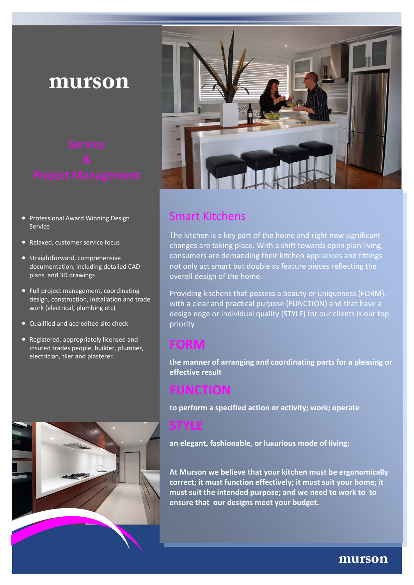# **murson**

- Professional Award Winning Design Service
- Relaxed, customer service focus
- Straightforward, comprehensive documentation, including detailed CAD plans and 3D drawings
- Full project management, coordinating design, construction, installation and trade work (electrical, plumbing etc)
- Qualified and accredited site check
- Registered, appropriately licensed and insured trades people, builder, plumber, electrician, tiler and plasterer.





## Smart Kitchens

The kitchen is a key part of the home and right now significant changes are taking place. With a shift towards open plan living, consumers are demanding their kitchen appliances and fittings not only act smart but double as feature pieces reflecting the overall design of the home.

Providing kitchens that possess a beauty or uniqueness (FORM), with a clear and practical purpose (FUNCTION) and that have a design edge or individual quality (STYLE) for our clients is our top priority

# **FORM**

**the manner of arranging and coordinating parts for a pleasing or effective result**

# **FUNCTION**

**to perform a specified action or activity; work; operate**

**an elegant, fashionable, or luxurious mode of living:** 

**At Murson we believe that your kitchen must be ergonomically correct; it must function effectively; it must suit your home; it must suit the intended purpose; and we need to work to to ensure that our designs meet your budget.**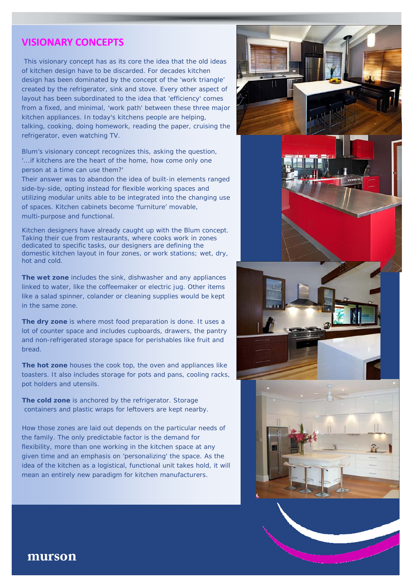## **VISIONARY CONCEPTS**

This visionary concept has as its core the idea that the old ideas of kitchen design have to be discarded. For decades kitchen design has been dominated by the concept of the 'work triangle' created by the refrigerator, sink and stove. Every other aspect of layout has been subordinated to the idea that 'efficiency' comes from a fixed, and minimal, 'work path' between these three major kitchen appliances. In today's kitchens people are helping, talking, cooking, doing homework, reading the paper, cruising the refrigerator, even watching TV.

Blum's visionary concept recognizes this, asking the question, '...if kitchens are the heart of the home, how come only one person at a time can use them?'

Their answer was to abandon the idea of built-in elements ranged side-by-side, opting instead for flexible working spaces and utilizing modular units able to be integrated into the changing use of spaces. Kitchen cabinets become 'furniture' movable, multi-purpose and functional.

Kitchen designers have already caught up with the Blum concept. Taking their cue from restaurants, where cooks work in zones dedicated to specific tasks, our designers are defining the domestic kitchen layout in four zones, or work stations; wet, dry, hot and cold.

**The wet zone** includes the sink, dishwasher and any appliances linked to water, like the coffeemaker or electric jug. Other items like a salad spinner, colander or cleaning supplies would be kept in the same zone.

**The dry zone** is where most food preparation is done. It uses a lot of counter space and includes cupboards, drawers, the pantry and non-refrigerated storage space for perishables like fruit and bread.

**The hot zone** houses the cook top, the oven and appliances like toasters. It also includes storage for pots and pans, cooling racks, pot holders and utensils.

**The cold zone** is anchored by the refrigerator. Storage containers and plastic wraps for leftovers are kept nearby.

How those zones are laid out depends on the particular needs of the family. The only predictable factor is the demand for flexibility, more than one working in the kitchen space at any given time and an emphasis on 'personalizing' the space. As the idea of the kitchen as a logistical, functional unit takes hold, it will mean an entirely new paradigm for kitchen manufacturers.

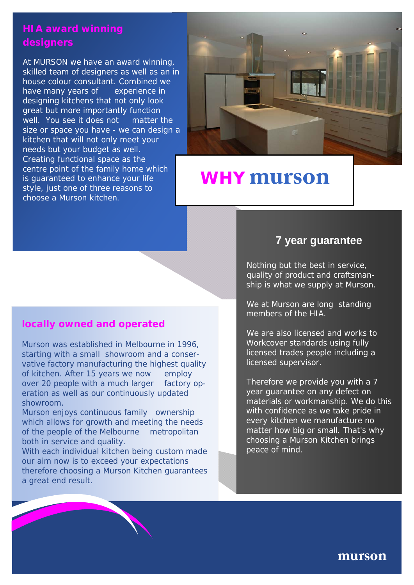## **HIA award winning designers**

At MURSON we have an award winning, skilled team of designers as well as an in house colour consultant. Combined we have many years of experience in designing kitchens that not only look great but more importantly function well. You see it does not matter the size or space you have - we can design a kitchen that will not only meet your needs but your budget as well. Creating functional space as the centre point of the family home which is guaranteed to enhance your life style, just one of three reasons to choose a Murson kitchen.



# **WHY murson**

## **locally owned and operated**

Murson was established in Melbourne in 1996, starting with a small showroom and a conservative factory manufacturing the highest quality of kitchen. After 15 years we now employ over 20 people with a much larger factory operation as well as our continuously updated showroom.

Murson enjoys continuous family ownership which allows for growth and meeting the needs of the people of the Melbourne metropolitan both in service and quality.

With each individual kitchen being custom made our aim now is to exceed your expectations therefore choosing a Murson Kitchen guarantees a great end result.

## **7 year guarantee**

Nothing but the best in service, quality of product and craftsmanship is what we supply at Murson.

We at Murson are long standing members of the HIA.

We are also licensed and works to Workcover standards using fully licensed trades people including a licensed supervisor.

Therefore we provide you with a 7 year guarantee on any defect on materials or workmanship. We do this with confidence as we take pride in every kitchen we manufacture no matter how big or small. That's why choosing a Murson Kitchen brings peace of mind.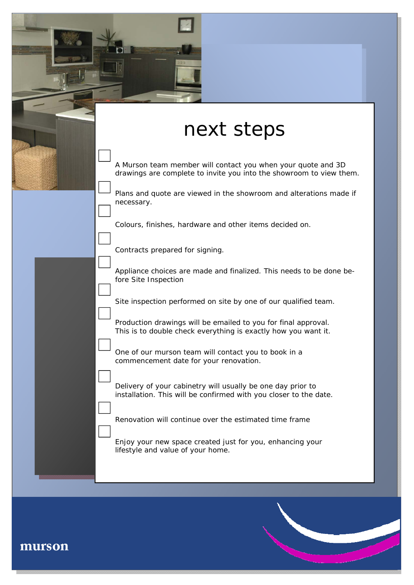| next steps                                                                                                                          |
|-------------------------------------------------------------------------------------------------------------------------------------|
| A Murson team member will contact you when your quote and 3D<br>drawings are complete to invite you into the showroom to view them. |
| Plans and quote are viewed in the showroom and alterations made if<br>necessary.                                                    |
| Colours, finishes, hardware and other items decided on.                                                                             |
| Contracts prepared for signing.                                                                                                     |
| Appliance choices are made and finalized. This needs to be done be-<br>fore Site Inspection                                         |
| Site inspection performed on site by one of our qualified team.                                                                     |
| Production drawings will be emailed to you for final approval.<br>This is to double check everything is exactly how you want it.    |
| One of our murson team will contact you to book in a<br>commencement date for your renovation.                                      |
| Delivery of your cabinetry will usually be one day prior to<br>installation. This will be confirmed with you closer to the date.    |
| Renovation will continue over the estimated time frame                                                                              |
| Enjoy your new space created just for you, enhancing your<br>lifestyle and value of your home.                                      |

г

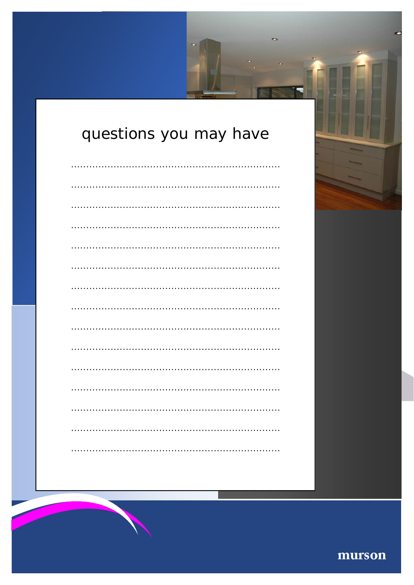